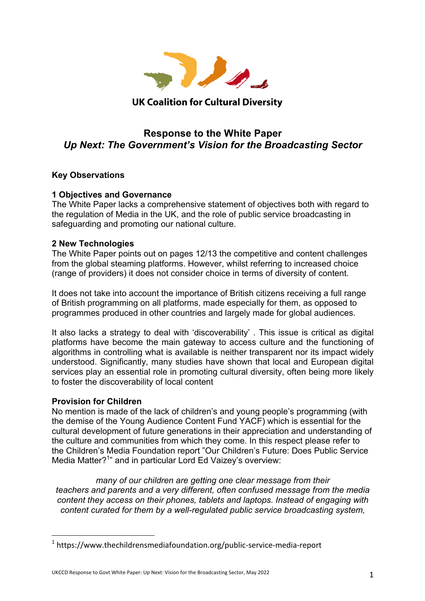

# **UK Coalition for Cultural Diversity**

# **Response to the White Paper** *Up Next: The Government's Vision for the Broadcasting Sector*

## **Key Observations**

## **1 Objectives and Governance**

The White Paper lacks a comprehensive statement of objectives both with regard to the regulation of Media in the UK, and the role of public service broadcasting in safeguarding and promoting our national culture.

## **2 New Technologies**

The White Paper points out on pages 12/13 the competitive and content challenges from the global steaming platforms. However, whilst referring to increased choice (range of providers) it does not consider choice in terms of diversity of content.

It does not take into account the importance of British citizens receiving a full range of British programming on all platforms, made especially for them, as opposed to programmes produced in other countries and largely made for global audiences.

It also lacks a strategy to deal with 'discoverability' . This issue is critical as digital platforms have become the main gateway to access culture and the functioning of algorithms in controlling what is available is neither transparent nor its impact widely understood. Significantly, many studies have shown that local and European digital services play an essential role in promoting cultural diversity, often being more likely to foster the discoverability of local content

## **Provision for Children**

 

No mention is made of the lack of children's and young people's programming (with the demise of the Young Audience Content Fund YACF) which is essential for the cultural development of future generations in their appreciation and understanding of the culture and communities from which they come. In this respect please refer to the Children's Media Foundation report "Our Children's Future: Does Public Service Media Matter?<sup>1</sup>" and in particular Lord Ed Vaizey's overview:

*many of our children are getting one clear message from their teachers and parents and a very different, often confused message from the media content they access on their phones, tablets and laptops. Instead of engaging with content curated for them by a well-regulated public service broadcasting system,*

<sup>1</sup> https://www.thechildrensmediafoundation.org/public-service-media-report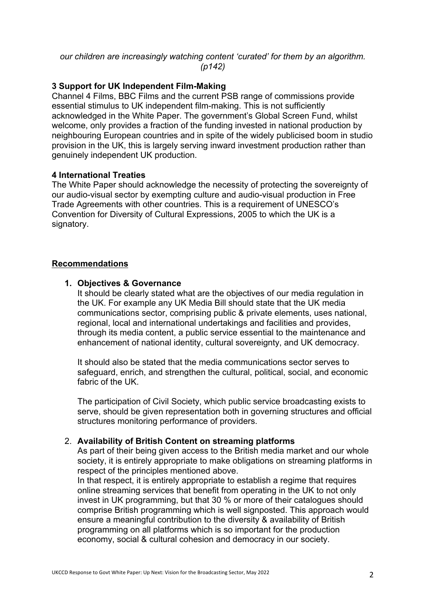### *our children are increasingly watching content 'curated' for them by an algorithm. (p142)*

## **3 Support for UK Independent Film-Making**

Channel 4 Films, BBC Films and the current PSB range of commissions provide essential stimulus to UK independent film-making. This is not sufficiently acknowledged in the White Paper. The government's Global Screen Fund, whilst welcome, only provides a fraction of the funding invested in national production by neighbouring European countries and in spite of the widely publicised boom in studio provision in the UK, this is largely serving inward investment production rather than genuinely independent UK production.

#### **4 International Treaties**

The White Paper should acknowledge the necessity of protecting the sovereignty of our audio-visual sector by exempting culture and audio-visual production in Free Trade Agreements with other countries. This is a requirement of UNESCO's Convention for Diversity of Cultural Expressions, 2005 to which the UK is a signatory.

#### **Recommendations**

#### **1. Objectives & Governance**

It should be clearly stated what are the objectives of our media regulation in the UK. For example any UK Media Bill should state that the UK media communications sector, comprising public & private elements, uses national, regional, local and international undertakings and facilities and provides, through its media content, a public service essential to the maintenance and enhancement of national identity, cultural sovereignty, and UK democracy.

It should also be stated that the media communications sector serves to safeguard, enrich, and strengthen the cultural, political, social, and economic fabric of the UK

The participation of Civil Society, which public service broadcasting exists to serve, should be given representation both in governing structures and official structures monitoring performance of providers.

## 2. **Availability of British Content on streaming platforms**

As part of their being given access to the British media market and our whole society, it is entirely appropriate to make obligations on streaming platforms in respect of the principles mentioned above.

In that respect, it is entirely appropriate to establish a regime that requires online streaming services that benefit from operating in the UK to not only invest in UK programming, but that 30 % or more of their catalogues should comprise British programming which is well signposted. This approach would ensure a meaningful contribution to the diversity & availability of British programming on all platforms which is so important for the production economy, social & cultural cohesion and democracy in our society.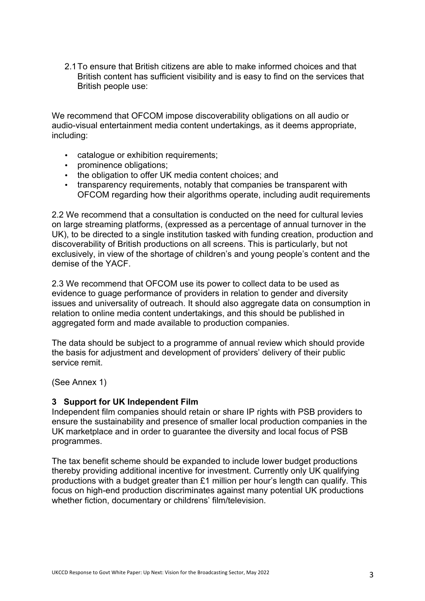2.1To ensure that British citizens are able to make informed choices and that British content has sufficient visibility and is easy to find on the services that British people use:

We recommend that OFCOM impose discoverability obligations on all audio or audio-visual entertainment media content undertakings, as it deems appropriate, including:

- catalogue or exhibition requirements;
- prominence obligations;
- the obligation to offer UK media content choices; and
- transparency requirements, notably that companies be transparent with OFCOM regarding how their algorithms operate, including audit requirements

2.2 We recommend that a consultation is conducted on the need for cultural levies on large streaming platforms, (expressed as a percentage of annual turnover in the UK), to be directed to a single institution tasked with funding creation, production and discoverability of British productions on all screens. This is particularly, but not exclusively, in view of the shortage of children's and young people's content and the demise of the YACF.

2.3 We recommend that OFCOM use its power to collect data to be used as evidence to guage performance of providers in relation to gender and diversity issues and universality of outreach. It should also aggregate data on consumption in relation to online media content undertakings, and this should be published in aggregated form and made available to production companies.

The data should be subject to a programme of annual review which should provide the basis for adjustment and development of providers' delivery of their public service remit.

(See Annex 1)

#### **3 Support for UK Independent Film**

Independent film companies should retain or share IP rights with PSB providers to ensure the sustainability and presence of smaller local production companies in the UK marketplace and in order to guarantee the diversity and local focus of PSB programmes.

The tax benefit scheme should be expanded to include lower budget productions thereby providing additional incentive for investment. Currently only UK qualifying productions with a budget greater than £1 million per hour's length can qualify. This focus on high-end production discriminates against many potential UK productions whether fiction, documentary or childrens' film/television.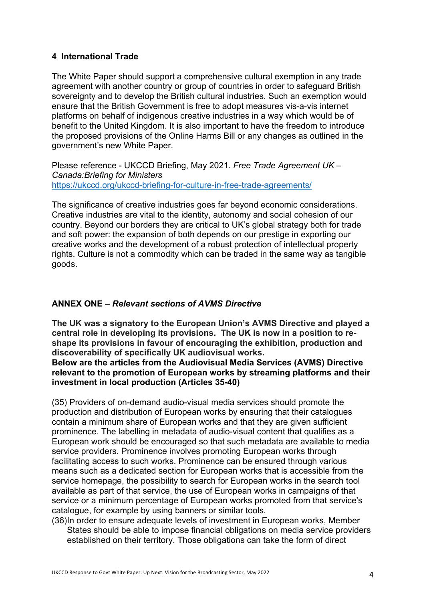## **4 International Trade**

The White Paper should support a comprehensive cultural exemption in any trade agreement with another country or group of countries in order to safeguard British sovereignty and to develop the British cultural industries. Such an exemption would ensure that the British Government is free to adopt measures vis-a-vis internet platforms on behalf of indigenous creative industries in a way which would be of benefit to the United Kingdom. It is also important to have the freedom to introduce the proposed provisions of the Online Harms Bill or any changes as outlined in the government's new White Paper.

Please reference - UKCCD Briefing, May 2021. *Free Trade Agreement UK – Canada:Briefing for Ministers*  https://ukccd.org/ukccd-briefing-for-culture-in-free-trade-agreements/

The significance of creative industries goes far beyond economic considerations. Creative industries are vital to the identity, autonomy and social cohesion of our country. Beyond our borders they are critical to UK's global strategy both for trade and soft power: the expansion of both depends on our prestige in exporting our creative works and the development of a robust protection of intellectual property rights. Culture is not a commodity which can be traded in the same way as tangible goods.

## **ANNEX ONE –** *Relevant sections of AVMS Directive*

**The UK was a signatory to the European Union's AVMS Directive and played a central role in developing its provisions. The UK is now in a position to reshape its provisions in favour of encouraging the exhibition, production and discoverability of specifically UK audiovisual works.**

**Below are the articles from the Audiovisual Media Services (AVMS) Directive relevant to the promotion of European works by streaming platforms and their investment in local production (Articles 35-40)**

(35) Providers of on-demand audio-visual media services should promote the production and distribution of European works by ensuring that their catalogues contain a minimum share of European works and that they are given sufficient prominence. The labelling in metadata of audio-visual content that qualifies as a European work should be encouraged so that such metadata are available to media service providers. Prominence involves promoting European works through facilitating access to such works. Prominence can be ensured through various means such as a dedicated section for European works that is accessible from the service homepage, the possibility to search for European works in the search tool available as part of that service, the use of European works in campaigns of that service or a minimum percentage of European works promoted from that service's catalogue, for example by using banners or similar tools.

(36)In order to ensure adequate levels of investment in European works, Member States should be able to impose financial obligations on media service providers established on their territory. Those obligations can take the form of direct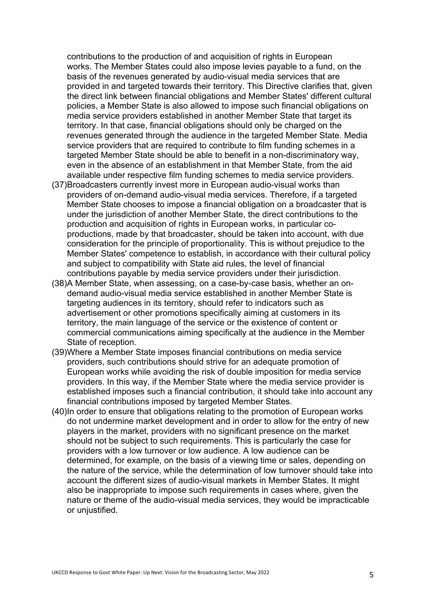contributions to the production of and acquisition of rights in European works. The Member States could also impose levies payable to a fund, on the basis of the revenues generated by audio-visual media services that are provided in and targeted towards their territory. This Directive clarifies that, given the direct link between financial obligations and Member States' different cultural policies, a Member State is also allowed to impose such financial obligations on media service providers established in another Member State that target its territory. In that case, financial obligations should only be charged on the revenues generated through the audience in the targeted Member State. Media service providers that are required to contribute to film funding schemes in a targeted Member State should be able to benefit in a non-discriminatory way, even in the absence of an establishment in that Member State, from the aid available under respective film funding schemes to media service providers.

- (37)Broadcasters currently invest more in European audio-visual works than providers of on-demand audio-visual media services. Therefore, if a targeted Member State chooses to impose a financial obligation on a broadcaster that is under the jurisdiction of another Member State, the direct contributions to the production and acquisition of rights in European works, in particular coproductions, made by that broadcaster, should be taken into account, with due consideration for the principle of proportionality. This is without prejudice to the Member States' competence to establish, in accordance with their cultural policy and subject to compatibility with State aid rules, the level of financial contributions payable by media service providers under their jurisdiction.
- (38)A Member State, when assessing, on a case-by-case basis, whether an ondemand audio-visual media service established in another Member State is targeting audiences in its territory, should refer to indicators such as advertisement or other promotions specifically aiming at customers in its territory, the main language of the service or the existence of content or commercial communications aiming specifically at the audience in the Member State of reception.
- (39)Where a Member State imposes financial contributions on media service providers, such contributions should strive for an adequate promotion of European works while avoiding the risk of double imposition for media service providers. In this way, if the Member State where the media service provider is established imposes such a financial contribution, it should take into account any financial contributions imposed by targeted Member States.
- (40)In order to ensure that obligations relating to the promotion of European works do not undermine market development and in order to allow for the entry of new players in the market, providers with no significant presence on the market should not be subject to such requirements. This is particularly the case for providers with a low turnover or low audience. A low audience can be determined, for example, on the basis of a viewing time or sales, depending on the nature of the service, while the determination of low turnover should take into account the different sizes of audio-visual markets in Member States. It might also be inappropriate to impose such requirements in cases where, given the nature or theme of the audio-visual media services, they would be impracticable or unjustified.